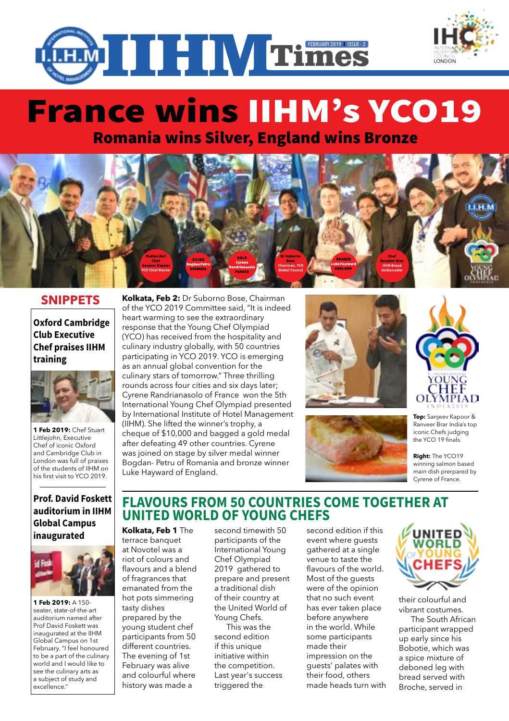

# France wins IIHM's YCO19

Romania wins Silver, England wins Bronze



### **SNIPPETS**

**Oxford Cambridge Club Executive Chef praises IIHM training**



**1 Feb 2019:** Chef Stuart Littlejohn, Executive Chef of iconic Oxford and Cambridge Club in London was full of praises of the students of IIHM on his first visit to YCO 2019.

#### **Prof. David Foskett auditorium in IIHM Global Campus inaugurated**



**1 Feb 2019:** A 150 seater, state-of-the-art auditorium named after Prof David Foskett was inaugurated at the IIHM Global Campus on 1st February. "I feel honoured to be a part of the culinary world and I would like to see the culinary arts as a subject of study and excellence."

**Kolkata, Feb 2:** Dr Suborno Bose, Chairman of the YCO 2019 Committee said, "It is indeed heart warming to see the extraordinary response that the Young Chef Olympiad (YCO) has received from the hospitality and culinary industry globally, with 50 countries participating in YCO 2019. YCO is emerging as an annual global convention for the culinary stars of tomorrow." Three thrilling rounds across four cities and six days later; Cyrene Randrianasolo of France won the 5th International Young Chef Olympiad presented by International Institute of Hotel Management (IIHM). She lifted the winner's trophy, a cheque of \$10,000 and bagged a gold medal after defeating 49 other countries. Cyrene was joined on stage by silver medal winner Bogdan- Petru of Romania and bronze winner Luke Hayward of England.







**LONDON** 

**Top:** Sanjeev Kapoor & Ranveer Brar India's top iconic Chefs judging the YCO 19 finals.

**Right:** The YCO19 winning salmon based main dish prerpared by Cyrene of France.

## **Flavours from 50 countries come together at United World of Young Chefs**

**Kolkata, Feb 1** The

terrace banquet at Novotel was a riot of colours and flavours and a blend of fragrances that emanated from the hot pots simmering tasty dishes prepared by the young student chef participants from 50 different countries. The evening of 1st February was alive and colourful where history was made a

second timewith 50 participants of the International Young Chef Olympiad 2019 gathered to prepare and present a traditional dish of their country at the United World of Young Chefs.

This was the second edition if this unique initiative within the competition. Last year's success triggered the

second edition if this event where guests gathered at a single venue to taste the flavours of the world. Most of the guests were of the opinion that no such event has ever taken place before anywhere in the world. While some participants made their impression on the guests' palates with their food, others made heads turn with



their colourful and vibrant costumes.

The South African participant wrapped up early since his Bobotie, which was a spice mixture of deboned leg with bread served with Broche, served in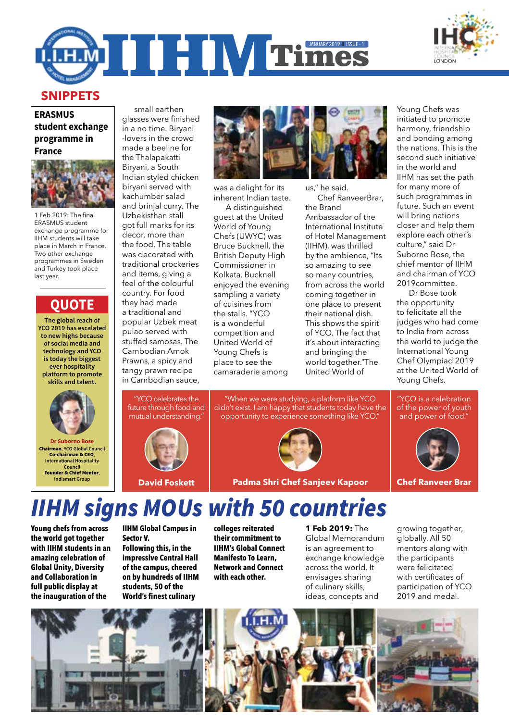



## **SNIPPETS**

#### **ERASMUS student exchange programme in France**



1 Feb 2019: The final ERASMUS student exchange programme for IIHM students will take place in March in France. Two other exchange programmes in Sweden and Turkey took place last year.

## **Quote**

**The global reach of YCO 2019 has escalated to new highs because of social media and technology and YCO is today the biggest ever hospitality platform to promote skills and talent.**



Chairman, **YCO Global Council** Co-chairman & CEO, **International Hospitality Council** Founder & Chief Mentor, **Indismart Group**

glasses were finished in a no time. Biryani -lovers in the crowd made a beeline for the Thalapakatti Biryani, a South Indian styled chicken biryani served with kachumber salad and brinial curry. The Uzbekisthan stall got full marks for its decor, more than the food. The table was decorated with traditional crockeries and items, giving a feel of the colourful country. For food they had made a traditional and popular Uzbek meat pulao served with stuffed samosas. The Cambodian Amok Prawns, a spicy and tangy prawn recipe

small earthen

"YCO celebrates the future through food and mutual understanding."

in Cambodian sauce,





was a delight for its inherent Indian taste.

A distinguished guest at the United World of Young Chefs (UWYC) was Bruce Bucknell, the British Deputy High Commissioner in Kolkata. Bucknell enjoyed the evening sampling a variety of cuisines from the stalls. "YCO is a wonderful competition and United World of Young Chefs is place to see the camaraderie among

us," he said. Chef RanveerBrar, the Brand Ambassador of the International Institute of Hotel Management (IIHM), was thrilled by the ambience, "Its so amazing to see so many countries, from across the world coming together in one place to present their national dish. This shows the spirit of YCO. The fact that it's about interacting and bringing the world together."The United World of

Young Chefs was initiated to promote harmony, friendship and bonding among the nations. This is the second such initiative in the world and IIHM has set the path for many more of such programmes in future. Such an event will bring nations closer and help them explore each other's culture," said Dr Suborno Bose, the chief mentor of IIHM and chairman of YCO 2019committee.

Dr Bose took the opportunity to felicitate all the judges who had come to India from across the world to judge the International Young Chef Olympiad 2019 at the United World of Young Chefs.



# *IIHM signs MOUs with 50 countries*

**Young chefs from across the world got together with IIHM students in an amazing celebration of Global Unity, Diversity and Collaboration in full public display at the inauguration of the** 

**IIHM Global Campus in Sector V. Following this, in the impressive Central Hall of the campus, cheered on by hundreds of IIHM students, 50 of the** 

**World's finest culinary** 

**colleges reiterated their commitment to IIHM's Global Connect Manifesto To Learn, Network and Connect with each other.**

**1 Feb 2019:** The Global Memorandum is an agreement to exchange knowledge across the world. It envisages sharing of culinary skills, ideas, concepts and

growing together, globally. All 50 mentors along with the participants were felicitated with certificates of participation of YCO 2019 and medal.

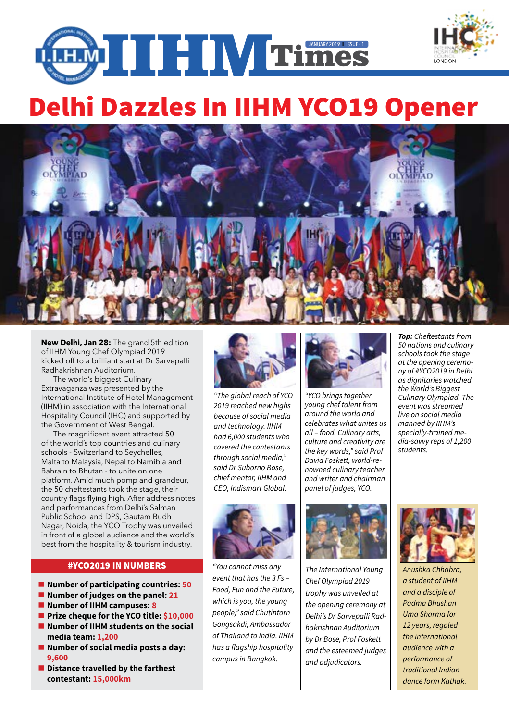

# Delhi Dazzles In IIHM YCO19 Opener



**New Delhi, Jan 28:** The grand 5th edition of IIHM Young Chef Olympiad 2019 kicked off to a brilliant start at Dr Sarvepalli Radhakrishnan Auditorium.

The world's biggest Culinary Extravaganza was presented by the International Institute of Hotel Management (IIHM) in association with the International Hospitality Council (IHC) and supported by the Government of West Bengal.

The magnificent event attracted 50 of the world's top countries and culinary schools - Switzerland to Seychelles, Malta to Malaysia, Nepal to Namibia and Bahrain to Bhutan - to unite on one platform. Amid much pomp and grandeur, the 50 cheftestants took the stage, their country flags flying high. After address notes and performances from Delhi's Salman Public School and DPS, Gautam Budh Nagar, Noida, the YCO Trophy was unveiled in front of a global audience and the world's best from the hospitality & tourism industry.

#### #YCO2019 IN NUMBERS

- Number of participating countries: 50
- Number of judges on the panel: 21
- Number of IIHM campuses: 8
- **Prize cheque for the YCO title: \$10,000**
- **Number of IIHM students on the social media team: 1,200**
- **Number of social media posts a day: 9,600**
- $\blacksquare$  Distance travelled by the farthest **contestant: 15,000km**



*"The global reach of YCO 2019 reached new highs because of social media and technology. IIHM had 6,000 students who covered the contestants through social media," said Dr Suborno Bose, chief mentor, IIHM and CEO, Indismart Global.*



*"You cannot miss any event that has the 3 Fs – Food, Fun and the Future, which is you, the young people," said Chutintorn Gongsakdi, Ambassador of Thailand to India. IIHM has a flagship hospitality campus in Bangkok.* 



*"YCO brings together young chef talent from around the world and celebrates what unites us all – food. Culinary arts, culture and creativity are the key words," said Prof David Foskett, world-renowned culinary teacher and writer and chairman panel of judges, YCO.*



*The International Young Chef Olympiad 2019 trophy was unveiled at the opening ceremony at Delhi's Dr Sarvepalli Radhakrishnan Auditorium by Dr Bose, Prof Foskett and the esteemed judges and adjudicators.* 



*Top: Cheftestants from 50 nations and culinary* 

**LONDON** 



*Anushka Chhabra, a student of IIHM and a disciple of Padma Bhushan Uma Sharma for 12 years, regaled the international audience with a performance of traditional Indian dance form Kathak.*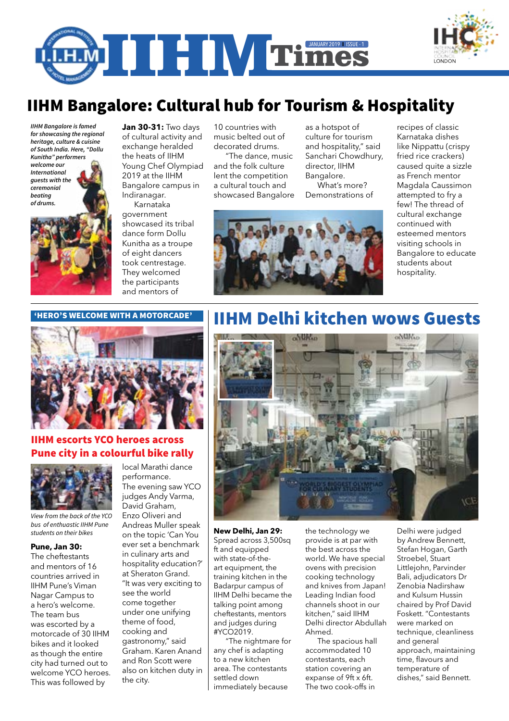

# IIHM Bangalore: Cultural hub for Tourism & Hospitality

*IIHM Bangalore is famed for showcasing the regional heritage, culture & cuisine of South India. Here, "Dollu Kunitha" performers welcome our International guests with the ceremonial beating of drums.*



**Jan 30-31:** Two days of cultural activity and exchange heralded the heats of IIHM Young Chef Olympiad 2019 at the IIHM Bangalore campus in Indiranagar. Karnataka

government showcased its tribal dance form Dollu Kunitha as a troupe of eight dancers took centrestage. They welcomed the participants and mentors of

10 countries with music belted out of decorated drums.

"The dance, music and the folk culture lent the competition a cultural touch and showcased Bangalore as a hotspot of culture for tourism and hospitality," said Sanchari Chowdhury, director, IIHM Bangalore. What's more?

Demonstrations of



recipes of classic Karnataka dishes like Nippattu (crispy fried rice crackers) caused quite a sizzle as French mentor Magdala Caussimon attempted to fry a few! The thread of cultural exchange continued with esteemed mentors visiting schools in Bangalore to educate students about hospitality.

**LONDON** 

#### 'HERO'S WELCOME WITH A MOTORCADE'



### IIHM escorts YCO heroes across Pune city in a colourful bike rally



*View from the back of the YCO bus of enthuastic IIHM Pune* 

#### **Pune, Jan 30:**

The cheftestants and mentors of 16 countries arrived in IIHM Pune's Viman Nagar Campus to a hero's welcome. The team bus was escorted by a motorcade of 30 IIHM bikes and it looked as though the entire city had turned out to welcome YCO heroes. This was followed by

local Marathi dance performance. The evening saw YCO

judges Andy Varma, David Graham, Enzo Oliveri and Andreas Muller speak on the topic 'Can You *students on their bikes* **New Delhi, Jan 29:**  ever set a benchmark in culinary arts and hospitality education?' at Sheraton Grand. "It was very exciting to see the world come together under one unifying theme of food, cooking and gastronomy," said Graham. Karen Anand and Ron Scott were also on kitchen duty in the city.

# IIHM Delhi kitchen wows Guests



Spread across 3,500sq ft and equipped with state-of-theart equipment, the training kitchen in the Badarpur campus of IIHM Delhi became the talking point among cheftestants, mentors and judges during #YCO2019.

"The nightmare for any chef is adapting to a new kitchen area. The contestants settled down immediately because

the technology we provide is at par with the best across the world. We have special ovens with precision cooking technology and knives from Japan! Leading Indian food channels shoot in our kitchen," said IIHM Delhi director Abdullah Ahmed.

The spacious hall accommodated 10 contestants, each station covering an expanse of 9ft x 6ft. The two cook-offs in

Delhi were judged by Andrew Bennett, Stefan Hogan, Garth Stroebel, Stuart Littlejohn, Parvinder Bali, adjudicators Dr Zenobia Nadirshaw and Kulsum Hussin chaired by Prof David Foskett. "Contestants were marked on technique, cleanliness and general approach, maintaining time, flavours and temperature of dishes," said Bennett.